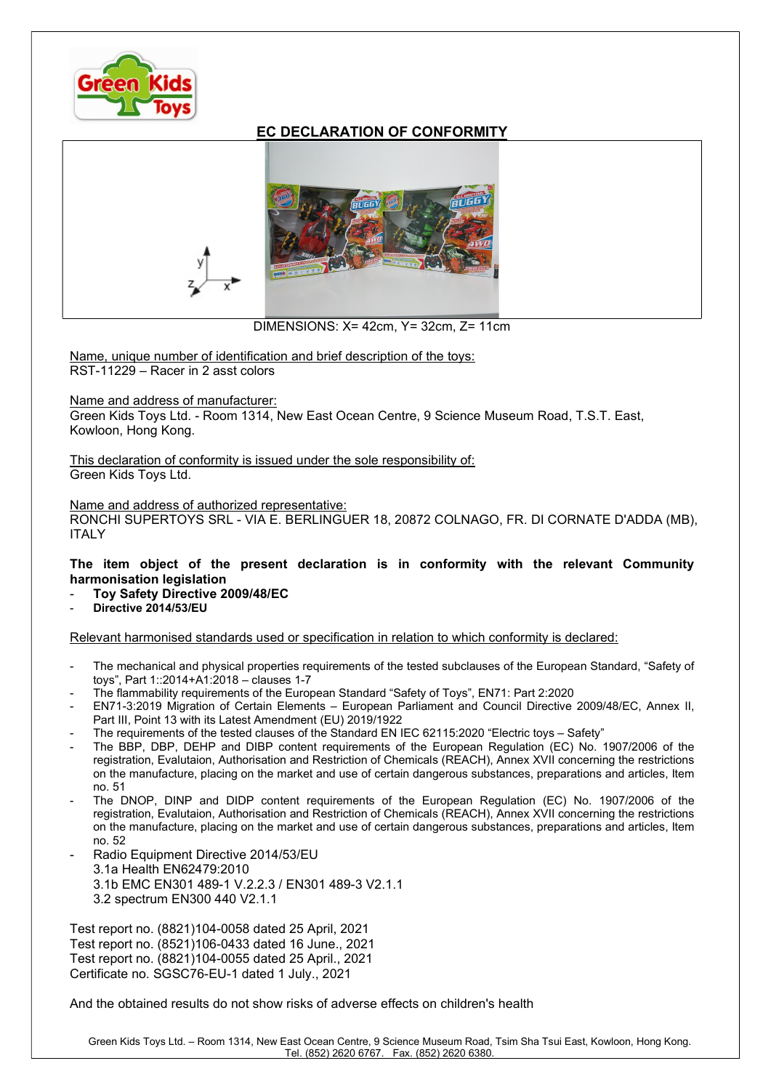

## EC DECLARATION OF CONFORMITY



DIMENSIONS: X= 42cm, Y= 32cm, Z= 11cm

Name, unique number of identification and brief description of the toys: RST-11229 – Racer in 2 asst colors

## Name and address of manufacturer:

Green Kids Toys Ltd. - Room 1314, New East Ocean Centre, 9 Science Museum Road, T.S.T. East, Kowloon, Hong Kong.

This declaration of conformity is issued under the sole responsibility of: Green Kids Toys Ltd.

## Name and address of authorized representative:

RONCHI SUPERTOYS SRL - VIA E. BERLINGUER 18, 20872 COLNAGO, FR. DI CORNATE D'ADDA (MB), **ITALY** 

## The item object of the present declaration is in conformity with the relevant Community harmonisation legislation

- Toy Safety Directive 2009/48/EC
- Directive 2014/53/EU

Relevant harmonised standards used or specification in relation to which conformity is declared:

- The mechanical and physical properties requirements of the tested subclauses of the European Standard, "Safety of toys", Part 1::2014+A1:2018 – clauses 1-7
- The flammability requirements of the European Standard "Safety of Toys", EN71: Part 2:2020
- EN71-3:2019 Migration of Certain Elements European Parliament and Council Directive 2009/48/EC, Annex II, Part III, Point 13 with its Latest Amendment (EU) 2019/1922
- The requirements of the tested clauses of the Standard EN IEC 62115:2020 "Electric toys Safety"
- The BBP, DBP, DEHP and DIBP content requirements of the European Regulation (EC) No. 1907/2006 of the registration, Evalutaion, Authorisation and Restriction of Chemicals (REACH), Annex XVII concerning the restrictions on the manufacture, placing on the market and use of certain dangerous substances, preparations and articles, Item no. 51
- The DNOP, DINP and DIDP content requirements of the European Regulation (EC) No. 1907/2006 of the registration, Evalutaion, Authorisation and Restriction of Chemicals (REACH), Annex XVII concerning the restrictions on the manufacture, placing on the market and use of certain dangerous substances, preparations and articles, Item no. 52
- Radio Equipment Directive 2014/53/EU 3.1a Health EN62479:2010 3.1b EMC EN301 489-1 V.2.2.3 / EN301 489-3 V2.1.1 3.2 spectrum EN300 440 V2.1.1

Test report no. (8821)104-0058 dated 25 April, 2021 Test report no. (8521)106-0433 dated 16 June., 2021 Test report no. (8821)104-0055 dated 25 April., 2021 Certificate no. SGSC76-EU-1 dated 1 July., 2021

And the obtained results do not show risks of adverse effects on children's health